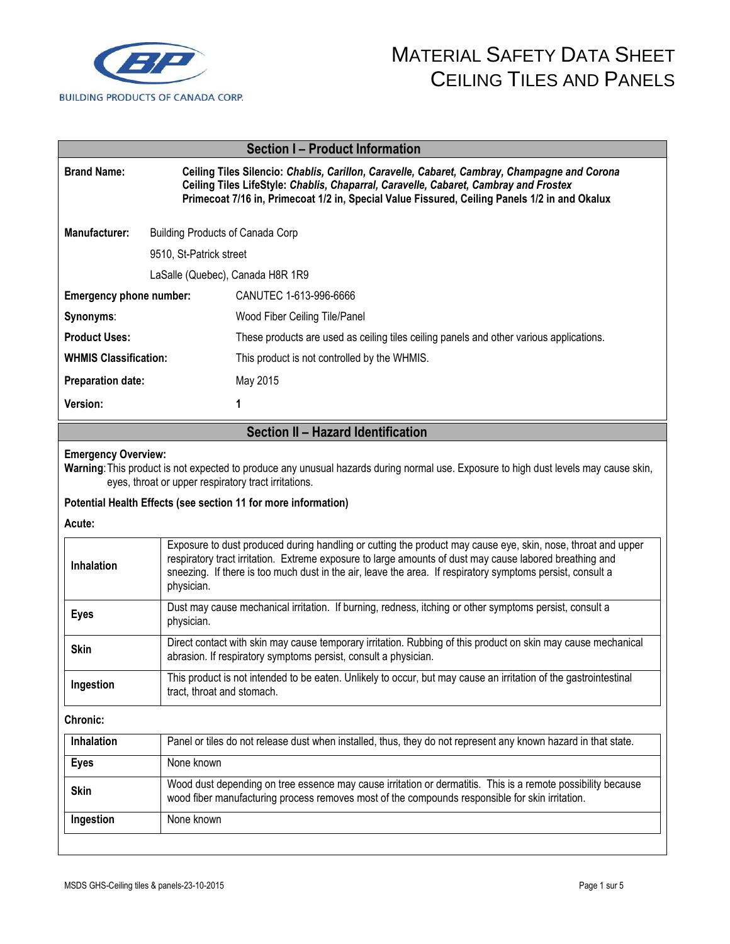

| <b>Section I-Product Information</b> |                                  |                                                                                                                                                                                                                                                                                       |  |
|--------------------------------------|----------------------------------|---------------------------------------------------------------------------------------------------------------------------------------------------------------------------------------------------------------------------------------------------------------------------------------|--|
| <b>Brand Name:</b>                   |                                  | Ceiling Tiles Silencio: Chablis, Carillon, Caravelle, Cabaret, Cambray, Champagne and Corona<br>Ceiling Tiles LifeStyle: Chablis, Chaparral, Caravelle, Cabaret, Cambray and Frostex<br>Primecoat 7/16 in, Primecoat 1/2 in, Special Value Fissured, Ceiling Panels 1/2 in and Okalux |  |
| Manufacturer:                        | Building Products of Canada Corp |                                                                                                                                                                                                                                                                                       |  |
|                                      | 9510, St-Patrick street          |                                                                                                                                                                                                                                                                                       |  |
|                                      | LaSalle (Quebec), Canada H8R 1R9 |                                                                                                                                                                                                                                                                                       |  |
| Emergency phone number:              |                                  | CANUTEC 1-613-996-6666                                                                                                                                                                                                                                                                |  |
| Synonyms:                            |                                  | Wood Fiber Ceiling Tile/Panel                                                                                                                                                                                                                                                         |  |
| <b>Product Uses:</b>                 |                                  | These products are used as ceiling tiles ceiling panels and other various applications.                                                                                                                                                                                               |  |
| <b>WHMIS Classification:</b>         |                                  | This product is not controlled by the WHMIS.                                                                                                                                                                                                                                          |  |
| <b>Preparation date:</b>             |                                  | May 2015                                                                                                                                                                                                                                                                              |  |
| <b>Version:</b>                      |                                  | 1                                                                                                                                                                                                                                                                                     |  |

## **Section II – Hazard Identification**

#### **Emergency Overview:**

**Warning**: This product is not expected to produce any unusual hazards during normal use. Exposure to high dust levels may cause skin, eyes, throat or upper respiratory tract irritations.

### **Potential Health Effects (see section 11 for more information)**

**Acute:** 

| <b>Inhalation</b> | Exposure to dust produced during handling or cutting the product may cause eye, skin, nose, throat and upper<br>respiratory tract irritation. Extreme exposure to large amounts of dust may cause labored breathing and<br>sneezing. If there is too much dust in the air, leave the area. If respiratory symptoms persist, consult a<br>physician. |  |  |
|-------------------|-----------------------------------------------------------------------------------------------------------------------------------------------------------------------------------------------------------------------------------------------------------------------------------------------------------------------------------------------------|--|--|
| <b>Eyes</b>       | Dust may cause mechanical irritation. If burning, redness, itching or other symptoms persist, consult a<br>physician.                                                                                                                                                                                                                               |  |  |
| <b>Skin</b>       | Direct contact with skin may cause temporary irritation. Rubbing of this product on skin may cause mechanical<br>abrasion. If respiratory symptoms persist, consult a physician.                                                                                                                                                                    |  |  |
| Ingestion         | This product is not intended to be eaten. Unlikely to occur, but may cause an irritation of the gastrointestinal<br>tract, throat and stomach.                                                                                                                                                                                                      |  |  |
| <b>Chronic:</b>   |                                                                                                                                                                                                                                                                                                                                                     |  |  |
| <b>Inhalation</b> | Panel or tiles do not release dust when installed, thus, they do not represent any known hazard in that state.                                                                                                                                                                                                                                      |  |  |
| <b>Eyes</b>       | None known                                                                                                                                                                                                                                                                                                                                          |  |  |
| <b>Skin</b>       | Wood dust depending on tree essence may cause irritation or dermatitis. This is a remote possibility because<br>wood fiber manufacturing process removes most of the compounds responsible for skin irritation.                                                                                                                                     |  |  |
| Ingestion         | None known                                                                                                                                                                                                                                                                                                                                          |  |  |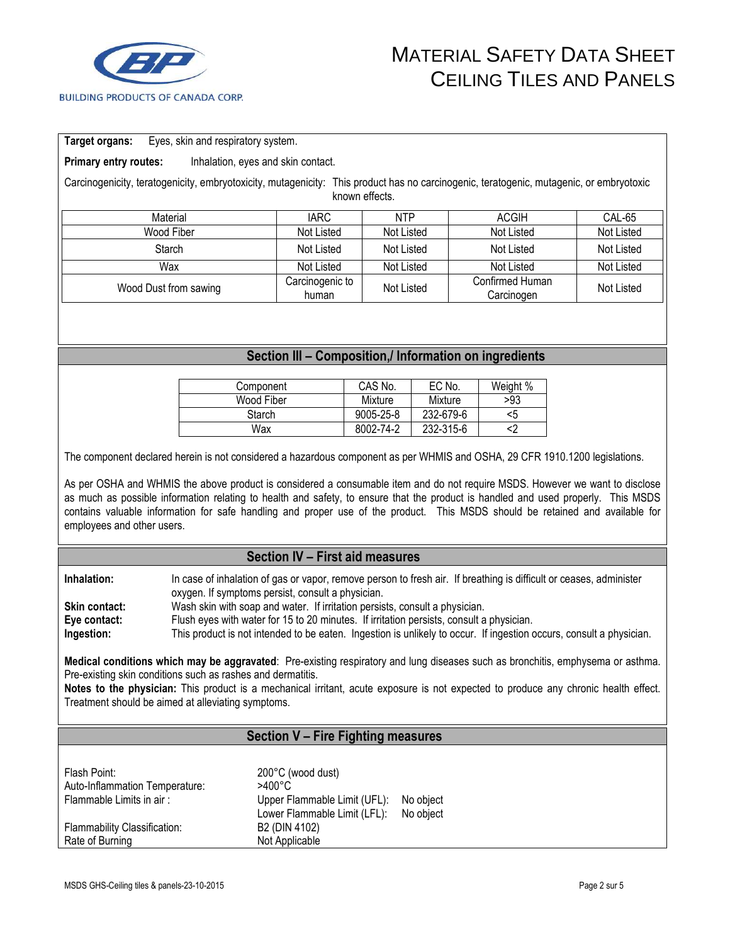

#### **Target organs:** Eyes, skin and respiratory system.

**Primary entry routes:** Inhalation, eyes and skin contact.

Carcinogenicity, teratogenicity, embryotoxicity, mutagenicity: This product has no carcinogenic, teratogenic, mutagenic, or embryotoxic known effects.

| Material              | IARC                     | <b>NTP</b> | ACGIH                         | CAL-65     |
|-----------------------|--------------------------|------------|-------------------------------|------------|
| Wood Fiber            | Not Listed               | Not Listed | Not Listed                    | Not Listed |
| Starch                | Not Listed               | Not Listed | Not Listed                    | Not Listed |
| Wax                   | Not Listed               | Not Listed | Not Listed                    | Not Listed |
| Wood Dust from sawing | Carcinogenic to<br>human | Not Listed | Confirmed Human<br>Carcinogen | Not Listed |

### **Section III – Composition,/ Information on ingredients**

| Component  | CAS No.   | EC No.    | Weight % |
|------------|-----------|-----------|----------|
| Wood Fiber | Mixture   | Mixture   | >93      |
| Starch     | 9005-25-8 | 232-679-6 | <5       |
| Wax        | 8002-74-2 | 232-315-6 |          |

The component declared herein is not considered a hazardous component as per WHMIS and OSHA, 29 CFR 1910.1200 legislations.

As per OSHA and WHMIS the above product is considered a consumable item and do not require MSDS. However we want to disclose as much as possible information relating to health and safety, to ensure that the product is handled and used properly. This MSDS contains valuable information for safe handling and proper use of the product. This MSDS should be retained and available for employees and other users.

### **Section IV – First aid measures**

**Inhalation:** In case of inhalation of gas or vapor, remove person to fresh air. If breathing is difficult or ceases, administer oxygen. If symptoms persist, consult a physician. **Skin contact:** Wash skin with soap and water. If irritation persists, consult a physician. **Eye contact:** Flush eyes with water for 15 to 20 minutes. If irritation persists, consult a physician. **Ingestion:** This product is not intended to be eaten. Ingestion is unlikely to occur. If ingestion occurs, consult a physician.

**Medical conditions which may be aggravated**: Pre-existing respiratory and lung diseases such as bronchitis, emphysema or asthma. Pre-existing skin conditions such as rashes and dermatitis.

**Notes to the physician:** This product is a mechanical irritant, acute exposure is not expected to produce any chronic health effect. Treatment should be aimed at alleviating symptoms.

## **Section V – Fire Fighting measures**

| Flash Point:<br>Auto-Inflammation Temperature: | 200°C (wood dust)<br>$>400^{\circ}$ C                        |                        |
|------------------------------------------------|--------------------------------------------------------------|------------------------|
| Flammable Limits in air:                       | Upper Flammable Limit (UFL):<br>Lower Flammable Limit (LFL): | No object<br>No object |
| <b>Flammability Classification:</b>            | B2 (DIN 4102)                                                |                        |
| Rate of Burning                                | Not Applicable                                               |                        |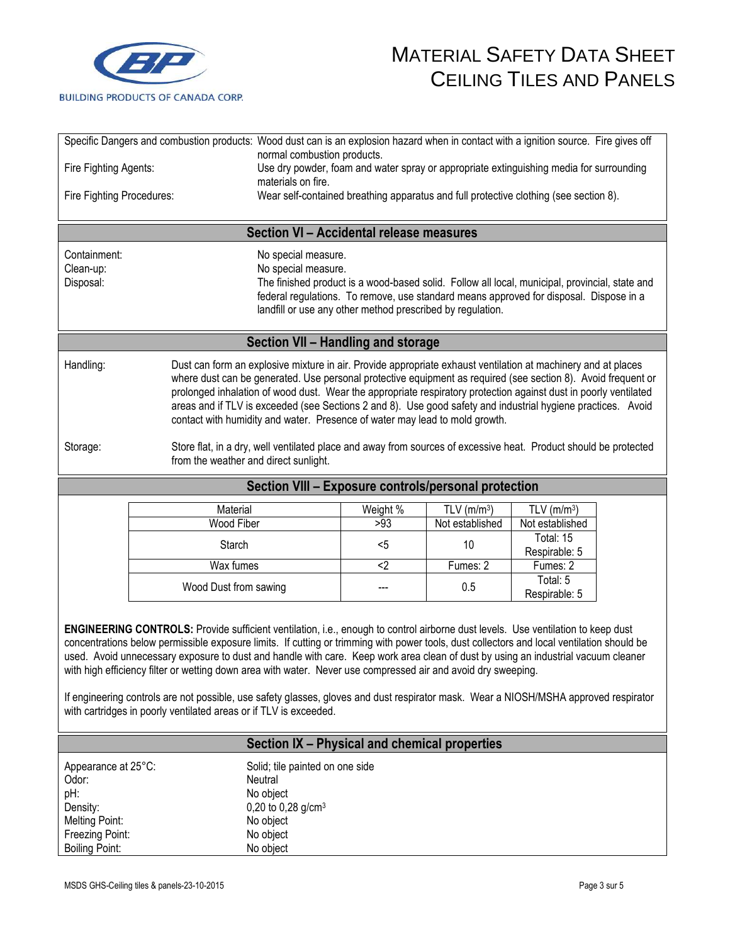

|                                                                                                                                                                       | Specific Dangers and combustion products: Wood dust can is an explosion hazard when in contact with a ignition source. Fire gives off                                                                                                                                                                                                                                                                                                                                                                                                                                                                                                                                                                                                             | normal combustion products.                                                                                                                                                                                                                            |                                                                                         |                           |                            |  |
|-----------------------------------------------------------------------------------------------------------------------------------------------------------------------|---------------------------------------------------------------------------------------------------------------------------------------------------------------------------------------------------------------------------------------------------------------------------------------------------------------------------------------------------------------------------------------------------------------------------------------------------------------------------------------------------------------------------------------------------------------------------------------------------------------------------------------------------------------------------------------------------------------------------------------------------|--------------------------------------------------------------------------------------------------------------------------------------------------------------------------------------------------------------------------------------------------------|-----------------------------------------------------------------------------------------|---------------------------|----------------------------|--|
| Fire Fighting Agents:                                                                                                                                                 |                                                                                                                                                                                                                                                                                                                                                                                                                                                                                                                                                                                                                                                                                                                                                   |                                                                                                                                                                                                                                                        | Use dry powder, foam and water spray or appropriate extinguishing media for surrounding |                           |                            |  |
|                                                                                                                                                                       |                                                                                                                                                                                                                                                                                                                                                                                                                                                                                                                                                                                                                                                                                                                                                   | materials on fire.                                                                                                                                                                                                                                     |                                                                                         |                           |                            |  |
| Wear self-contained breathing apparatus and full protective clothing (see section 8).<br>Fire Fighting Procedures:                                                    |                                                                                                                                                                                                                                                                                                                                                                                                                                                                                                                                                                                                                                                                                                                                                   |                                                                                                                                                                                                                                                        |                                                                                         |                           |                            |  |
|                                                                                                                                                                       |                                                                                                                                                                                                                                                                                                                                                                                                                                                                                                                                                                                                                                                                                                                                                   | Section VI - Accidental release measures                                                                                                                                                                                                               |                                                                                         |                           |                            |  |
| Containment:                                                                                                                                                          |                                                                                                                                                                                                                                                                                                                                                                                                                                                                                                                                                                                                                                                                                                                                                   | No special measure.                                                                                                                                                                                                                                    |                                                                                         |                           |                            |  |
| Clean-up:                                                                                                                                                             |                                                                                                                                                                                                                                                                                                                                                                                                                                                                                                                                                                                                                                                                                                                                                   | No special measure.                                                                                                                                                                                                                                    |                                                                                         |                           |                            |  |
| Disposal:                                                                                                                                                             |                                                                                                                                                                                                                                                                                                                                                                                                                                                                                                                                                                                                                                                                                                                                                   | The finished product is a wood-based solid. Follow all local, municipal, provincial, state and<br>federal regulations. To remove, use standard means approved for disposal. Dispose in a<br>landfill or use any other method prescribed by regulation. |                                                                                         |                           |                            |  |
|                                                                                                                                                                       |                                                                                                                                                                                                                                                                                                                                                                                                                                                                                                                                                                                                                                                                                                                                                   | Section VII - Handling and storage                                                                                                                                                                                                                     |                                                                                         |                           |                            |  |
| Handling:                                                                                                                                                             |                                                                                                                                                                                                                                                                                                                                                                                                                                                                                                                                                                                                                                                                                                                                                   | Dust can form an explosive mixture in air. Provide appropriate exhaust ventilation at machinery and at places                                                                                                                                          |                                                                                         |                           |                            |  |
|                                                                                                                                                                       |                                                                                                                                                                                                                                                                                                                                                                                                                                                                                                                                                                                                                                                                                                                                                   | where dust can be generated. Use personal protective equipment as required (see section 8). Avoid frequent or                                                                                                                                          |                                                                                         |                           |                            |  |
|                                                                                                                                                                       |                                                                                                                                                                                                                                                                                                                                                                                                                                                                                                                                                                                                                                                                                                                                                   | prolonged inhalation of wood dust. Wear the appropriate respiratory protection against dust in poorly ventilated<br>areas and if TLV is exceeded (see Sections 2 and 8). Use good safety and industrial hygiene practices. Avoid                       |                                                                                         |                           |                            |  |
|                                                                                                                                                                       |                                                                                                                                                                                                                                                                                                                                                                                                                                                                                                                                                                                                                                                                                                                                                   | contact with humidity and water. Presence of water may lead to mold growth.                                                                                                                                                                            |                                                                                         |                           |                            |  |
|                                                                                                                                                                       |                                                                                                                                                                                                                                                                                                                                                                                                                                                                                                                                                                                                                                                                                                                                                   |                                                                                                                                                                                                                                                        |                                                                                         |                           |                            |  |
| Storage:<br>Store flat, in a dry, well ventilated place and away from sources of excessive heat. Product should be protected<br>from the weather and direct sunlight. |                                                                                                                                                                                                                                                                                                                                                                                                                                                                                                                                                                                                                                                                                                                                                   |                                                                                                                                                                                                                                                        |                                                                                         |                           |                            |  |
|                                                                                                                                                                       |                                                                                                                                                                                                                                                                                                                                                                                                                                                                                                                                                                                                                                                                                                                                                   | Section VIII - Exposure controls/personal protection                                                                                                                                                                                                   |                                                                                         |                           |                            |  |
|                                                                                                                                                                       | Material                                                                                                                                                                                                                                                                                                                                                                                                                                                                                                                                                                                                                                                                                                                                          |                                                                                                                                                                                                                                                        | Weight %                                                                                | $TLV$ (m/m <sup>3</sup> ) | TLV $(m/m3)$               |  |
|                                                                                                                                                                       | Wood Fiber                                                                                                                                                                                                                                                                                                                                                                                                                                                                                                                                                                                                                                                                                                                                        |                                                                                                                                                                                                                                                        | >93                                                                                     | Not established           | Not established            |  |
|                                                                                                                                                                       | Starch                                                                                                                                                                                                                                                                                                                                                                                                                                                                                                                                                                                                                                                                                                                                            |                                                                                                                                                                                                                                                        | $5$                                                                                     | 10                        | Total: 15<br>Respirable: 5 |  |
|                                                                                                                                                                       | Wax fumes                                                                                                                                                                                                                                                                                                                                                                                                                                                                                                                                                                                                                                                                                                                                         |                                                                                                                                                                                                                                                        | $2$                                                                                     | Fumes: 2                  | Fumes: 2                   |  |
|                                                                                                                                                                       | Wood Dust from sawing                                                                                                                                                                                                                                                                                                                                                                                                                                                                                                                                                                                                                                                                                                                             |                                                                                                                                                                                                                                                        |                                                                                         | 0.5                       | Total: 5                   |  |
|                                                                                                                                                                       |                                                                                                                                                                                                                                                                                                                                                                                                                                                                                                                                                                                                                                                                                                                                                   |                                                                                                                                                                                                                                                        |                                                                                         |                           | Respirable: 5              |  |
|                                                                                                                                                                       | ENGINEERING CONTROLS: Provide sufficient ventilation, i.e., enough to control airborne dust levels. Use ventilation to keep dust<br>concentrations below permissible exposure limits. If cutting or trimming with power tools, dust collectors and local ventilation should be<br>used. Avoid unnecessary exposure to dust and handle with care. Keep work area clean of dust by using an industrial vacuum cleaner<br>with high efficiency filter or wetting down area with water. Never use compressed air and avoid dry sweeping.<br>If engineering controls are not possible, use safety glasses, gloves and dust respirator mask. Wear a NIOSH/MSHA approved respirator<br>with cartridges in poorly ventilated areas or if TLV is exceeded. |                                                                                                                                                                                                                                                        |                                                                                         |                           |                            |  |
|                                                                                                                                                                       |                                                                                                                                                                                                                                                                                                                                                                                                                                                                                                                                                                                                                                                                                                                                                   | Section IX - Physical and chemical properties                                                                                                                                                                                                          |                                                                                         |                           |                            |  |
| Appearance at 25°C:                                                                                                                                                   |                                                                                                                                                                                                                                                                                                                                                                                                                                                                                                                                                                                                                                                                                                                                                   | Solid; tile painted on one side                                                                                                                                                                                                                        |                                                                                         |                           |                            |  |
| Odor:                                                                                                                                                                 |                                                                                                                                                                                                                                                                                                                                                                                                                                                                                                                                                                                                                                                                                                                                                   | Neutral                                                                                                                                                                                                                                                |                                                                                         |                           |                            |  |
| pH:                                                                                                                                                                   |                                                                                                                                                                                                                                                                                                                                                                                                                                                                                                                                                                                                                                                                                                                                                   | No object                                                                                                                                                                                                                                              |                                                                                         |                           |                            |  |
| Density:                                                                                                                                                              |                                                                                                                                                                                                                                                                                                                                                                                                                                                                                                                                                                                                                                                                                                                                                   | 0,20 to 0,28 g/cm <sup>3</sup>                                                                                                                                                                                                                         |                                                                                         |                           |                            |  |
| <b>Melting Point:</b><br>Freezing Point:                                                                                                                              |                                                                                                                                                                                                                                                                                                                                                                                                                                                                                                                                                                                                                                                                                                                                                   | No object<br>No object                                                                                                                                                                                                                                 |                                                                                         |                           |                            |  |
| <b>Boiling Point:</b>                                                                                                                                                 |                                                                                                                                                                                                                                                                                                                                                                                                                                                                                                                                                                                                                                                                                                                                                   | No object                                                                                                                                                                                                                                              |                                                                                         |                           |                            |  |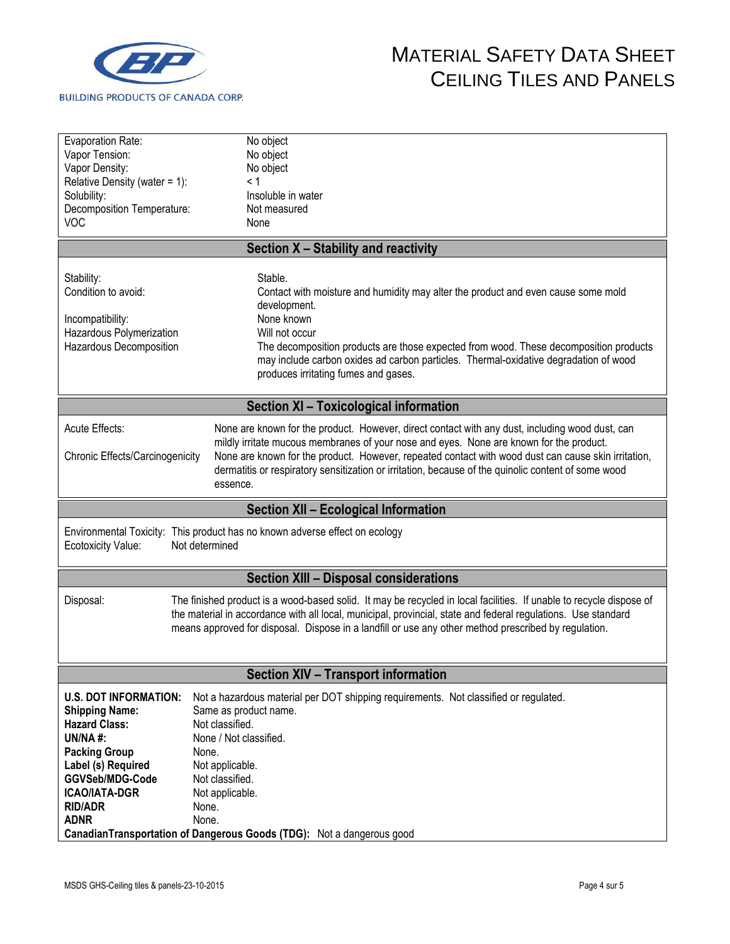

| Evaporation Rate:<br>Vapor Tension:<br>Vapor Density:<br>Relative Density (water = 1):<br>Solubility:<br>Decomposition Temperature:                                                                                                                                                                                                                       | No object<br>No object<br>No object<br>< 1<br>Insoluble in water<br>Not measured                                                                                                                                                                                                                                                                                                                                     |  |  |  |
|-----------------------------------------------------------------------------------------------------------------------------------------------------------------------------------------------------------------------------------------------------------------------------------------------------------------------------------------------------------|----------------------------------------------------------------------------------------------------------------------------------------------------------------------------------------------------------------------------------------------------------------------------------------------------------------------------------------------------------------------------------------------------------------------|--|--|--|
| <b>VOC</b>                                                                                                                                                                                                                                                                                                                                                | None                                                                                                                                                                                                                                                                                                                                                                                                                 |  |  |  |
|                                                                                                                                                                                                                                                                                                                                                           | Section X - Stability and reactivity                                                                                                                                                                                                                                                                                                                                                                                 |  |  |  |
|                                                                                                                                                                                                                                                                                                                                                           |                                                                                                                                                                                                                                                                                                                                                                                                                      |  |  |  |
| Stability:<br>Condition to avoid:<br>Incompatibility:<br>Hazardous Polymerization<br>Hazardous Decomposition                                                                                                                                                                                                                                              | Stable.<br>Contact with moisture and humidity may alter the product and even cause some mold<br>development.<br>None known<br>Will not occur<br>The decomposition products are those expected from wood. These decomposition products<br>may include carbon oxides ad carbon particles. Thermal-oxidative degradation of wood<br>produces irritating fumes and gases.                                                |  |  |  |
|                                                                                                                                                                                                                                                                                                                                                           | <b>Section XI - Toxicological information</b>                                                                                                                                                                                                                                                                                                                                                                        |  |  |  |
| <b>Acute Effects:</b><br>Chronic Effects/Carcinogenicity                                                                                                                                                                                                                                                                                                  | None are known for the product. However, direct contact with any dust, including wood dust, can<br>mildly irritate mucous membranes of your nose and eyes. None are known for the product.<br>None are known for the product. However, repeated contact with wood dust can cause skin irritation,<br>dermatitis or respiratory sensitization or irritation, because of the quinolic content of some wood<br>essence. |  |  |  |
|                                                                                                                                                                                                                                                                                                                                                           | <b>Section XII - Ecological Information</b>                                                                                                                                                                                                                                                                                                                                                                          |  |  |  |
| Environmental Toxicity: This product has no known adverse effect on ecology<br>Not determined<br><b>Ecotoxicity Value:</b>                                                                                                                                                                                                                                |                                                                                                                                                                                                                                                                                                                                                                                                                      |  |  |  |
|                                                                                                                                                                                                                                                                                                                                                           | <b>Section XIII - Disposal considerations</b>                                                                                                                                                                                                                                                                                                                                                                        |  |  |  |
| Disposal:<br>The finished product is a wood-based solid. It may be recycled in local facilities. If unable to recycle dispose of<br>the material in accordance with all local, municipal, provincial, state and federal regulations. Use standard<br>means approved for disposal. Dispose in a landfill or use any other method prescribed by regulation. |                                                                                                                                                                                                                                                                                                                                                                                                                      |  |  |  |
| <b>Section XIV - Transport information</b>                                                                                                                                                                                                                                                                                                                |                                                                                                                                                                                                                                                                                                                                                                                                                      |  |  |  |
| <b>U.S. DOT INFORMATION:</b><br><b>Shipping Name:</b><br><b>Hazard Class:</b><br>UN/NA $#$ :<br><b>Packing Group</b><br>Label (s) Required<br>GGVSeb/MDG-Code<br><b>ICAO/IATA-DGR</b>                                                                                                                                                                     | Not a hazardous material per DOT shipping requirements. Not classified or regulated.<br>Same as product name.<br>Not classified.<br>None / Not classified.<br>None.<br>Not applicable.<br>Not classified.<br>Not applicable.                                                                                                                                                                                         |  |  |  |
| <b>RID/ADR</b><br><b>ADNR</b>                                                                                                                                                                                                                                                                                                                             | None.<br>None.<br>Canadian Transportation of Dangerous Goods (TDG): Not a dangerous good                                                                                                                                                                                                                                                                                                                             |  |  |  |